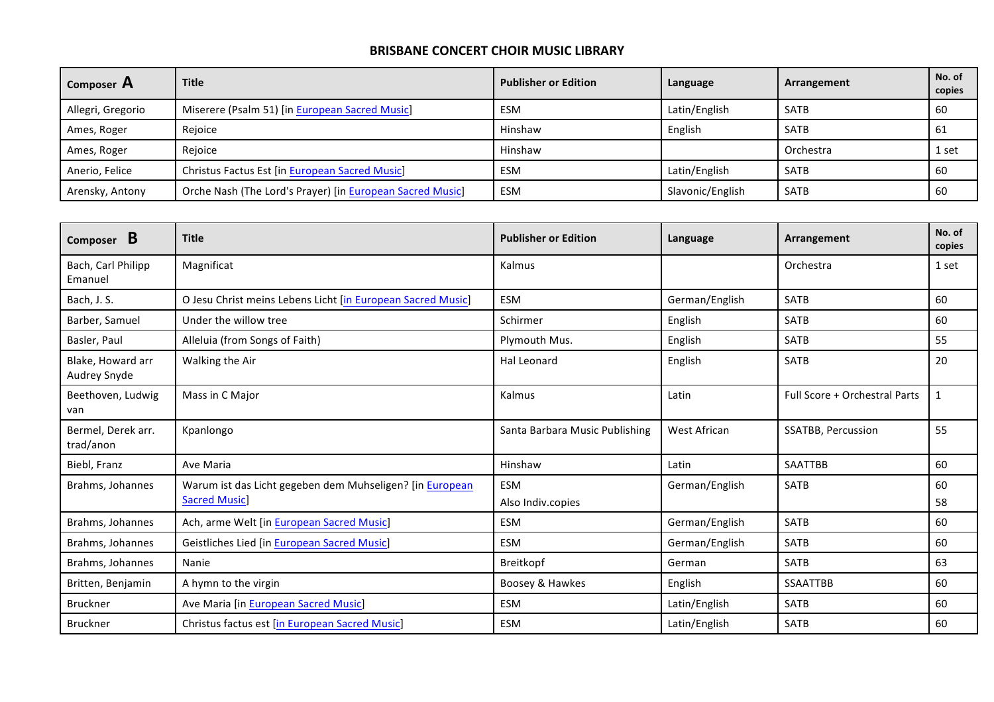| Composer A        | <b>Title</b>                                              | <b>Publisher or Edition</b> | Language         | Arrangement | No. of<br>copies |
|-------------------|-----------------------------------------------------------|-----------------------------|------------------|-------------|------------------|
| Allegri, Gregorio | Miserere (Psalm 51) [in European Sacred Music]            | <b>ESM</b>                  | Latin/English    | <b>SATB</b> | 60               |
| Ames, Roger       | Rejoice                                                   | Hinshaw                     | English          | <b>SATB</b> | 61               |
| Ames, Roger       | Rejoice                                                   | Hinshaw                     |                  | Orchestra   | 1 set            |
| Anerio, Felice    | Christus Factus Est [in European Sacred Music]            | <b>ESM</b>                  | Latin/English    | <b>SATB</b> | 60               |
| Arensky, Antony   | Orche Nash (The Lord's Prayer) [in European Sacred Music] | <b>ESM</b>                  | Slavonic/English | <b>SATB</b> | 60               |

| B<br>Composer                     | <b>Title</b>                                                                     | <b>Publisher or Edition</b>    | Language       | Arrangement                   | No. of<br>copies |
|-----------------------------------|----------------------------------------------------------------------------------|--------------------------------|----------------|-------------------------------|------------------|
| Bach, Carl Philipp<br>Emanuel     | Magnificat                                                                       | Kalmus                         |                | Orchestra                     | 1 set            |
| Bach, J. S.                       | O Jesu Christ meins Lebens Licht [in European Sacred Music]                      | ESM                            | German/English | <b>SATB</b>                   | 60               |
| Barber, Samuel                    | Under the willow tree                                                            | Schirmer                       | English        | <b>SATB</b>                   | 60               |
| Basler, Paul                      | Alleluia (from Songs of Faith)                                                   | Plymouth Mus.                  | English        | <b>SATB</b>                   | 55               |
| Blake, Howard arr<br>Audrey Snyde | Walking the Air                                                                  | Hal Leonard                    | English        | <b>SATB</b>                   | 20               |
| Beethoven, Ludwig<br>van          | Mass in C Major                                                                  | Kalmus                         | Latin          | Full Score + Orchestral Parts | $\mathbf{1}$     |
| Bermel, Derek arr.<br>trad/anon   | Kpanlongo                                                                        | Santa Barbara Music Publishing | West African   | <b>SSATBB, Percussion</b>     | 55               |
| Biebl, Franz                      | Ave Maria                                                                        | Hinshaw                        | Latin          | <b>SAATTBB</b>                | 60               |
| Brahms, Johannes                  | Warum ist das Licht gegeben dem Muhseligen? [in European<br><b>Sacred Music]</b> | ESM<br>Also Indiv.copies       | German/English | <b>SATB</b>                   | 60<br>58         |
| Brahms, Johannes                  | Ach, arme Welt [in European Sacred Music]                                        | ESM                            | German/English | <b>SATB</b>                   | 60               |
| Brahms, Johannes                  | <b>Geistliches Lied [in European Sacred Music]</b>                               | ESM                            | German/English | <b>SATB</b>                   | 60               |
| Brahms, Johannes                  | Nanie                                                                            | Breitkopf                      | German         | <b>SATB</b>                   | 63               |
| Britten, Benjamin                 | A hymn to the virgin                                                             | Boosey & Hawkes                | English        | <b>SSAATTBB</b>               | 60               |
| <b>Bruckner</b>                   | Ave Maria [in European Sacred Music]                                             | ESM                            | Latin/English  | <b>SATB</b>                   | 60               |
| <b>Bruckner</b>                   | Christus factus est [in European Sacred Music]                                   | ESM                            | Latin/English  | <b>SATB</b>                   | 60               |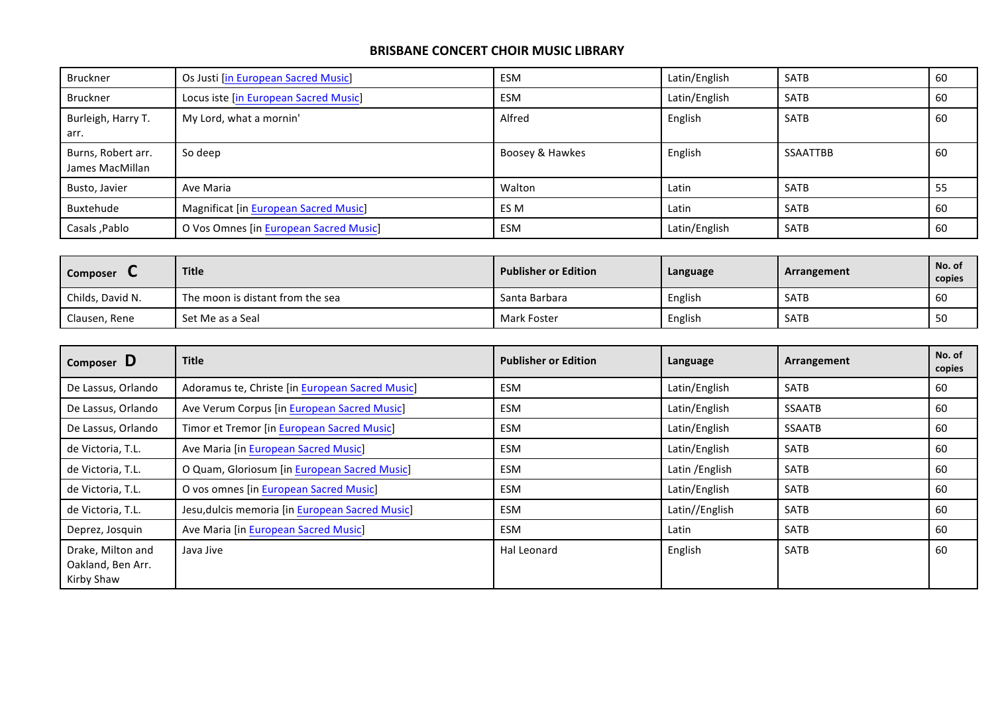| <b>Bruckner</b>                       | Os Justi [in European Sacred Music]          | <b>ESM</b>      | Latin/English | <b>SATB</b>     | 60 |
|---------------------------------------|----------------------------------------------|-----------------|---------------|-----------------|----|
| Bruckner                              | Locus iste [in European Sacred Music]        | <b>ESM</b>      | Latin/English | <b>SATB</b>     | 60 |
| Burleigh, Harry T.<br>arr.            | My Lord, what a mornin'                      | Alfred          | English       | <b>SATB</b>     | 60 |
| Burns, Robert arr.<br>James MacMillan | So deep                                      | Boosey & Hawkes | English       | <b>SSAATTBB</b> | 60 |
| Busto, Javier                         | Ave Maria                                    | Walton          | Latin         | <b>SATB</b>     | 55 |
| Buxtehude                             | <b>Magnificat [in European Sacred Music]</b> | ES M            | Latin         | <b>SATB</b>     | 60 |
| Casals, Pablo                         | O Vos Omnes [in European Sacred Music]       | ESM             | Latin/English | <b>SATB</b>     | 60 |

| <b>Composer</b>  | <b>Title</b>                     | <b>Publisher or Edition</b> | Language | Arrangement | No. of<br>copies |
|------------------|----------------------------------|-----------------------------|----------|-------------|------------------|
| Childs, David N. | The moon is distant from the sea | Santa Barbara               | English  | <b>SATB</b> | -60              |
| Clausen, Rene    | Set Me as a Seal                 | Mark Foster                 | English  | <b>SATB</b> | 50               |

| Composer D                                           | <b>Title</b>                                    | <b>Publisher or Edition</b> | Language        | Arrangement   | No. of<br>copies |
|------------------------------------------------------|-------------------------------------------------|-----------------------------|-----------------|---------------|------------------|
| De Lassus, Orlando                                   | Adoramus te, Christe [in European Sacred Music] | ESM                         | Latin/English   | <b>SATB</b>   | 60               |
| De Lassus, Orlando                                   | Ave Verum Corpus [in European Sacred Music]     | ESM                         | Latin/English   | <b>SSAATB</b> | 60               |
| De Lassus, Orlando                                   | Timor et Tremor [in European Sacred Music]      | ESM                         | Latin/English   | <b>SSAATB</b> | 60               |
| de Victoria, T.L.                                    | Ave Maria [in European Sacred Music]            | <b>ESM</b>                  | Latin/English   | <b>SATB</b>   | 60               |
| de Victoria, T.L.                                    | O Quam, Gloriosum [in European Sacred Music]    | <b>ESM</b>                  | Latin / English | <b>SATB</b>   | 60               |
| de Victoria, T.L.                                    | O vos omnes [in European Sacred Music]          | ESM                         | Latin/English   | <b>SATB</b>   | 60               |
| de Victoria, T.L.                                    | Jesu, dulcis memoria [in European Sacred Music] | <b>ESM</b>                  | Latin//English  | <b>SATB</b>   | 60               |
| Deprez, Josquin                                      | Ave Maria [in European Sacred Music]            | ESM                         | Latin           | <b>SATB</b>   | 60               |
| Drake, Milton and<br>Oakland, Ben Arr.<br>Kirby Shaw | Java Jive                                       | Hal Leonard                 | English         | <b>SATB</b>   | 60               |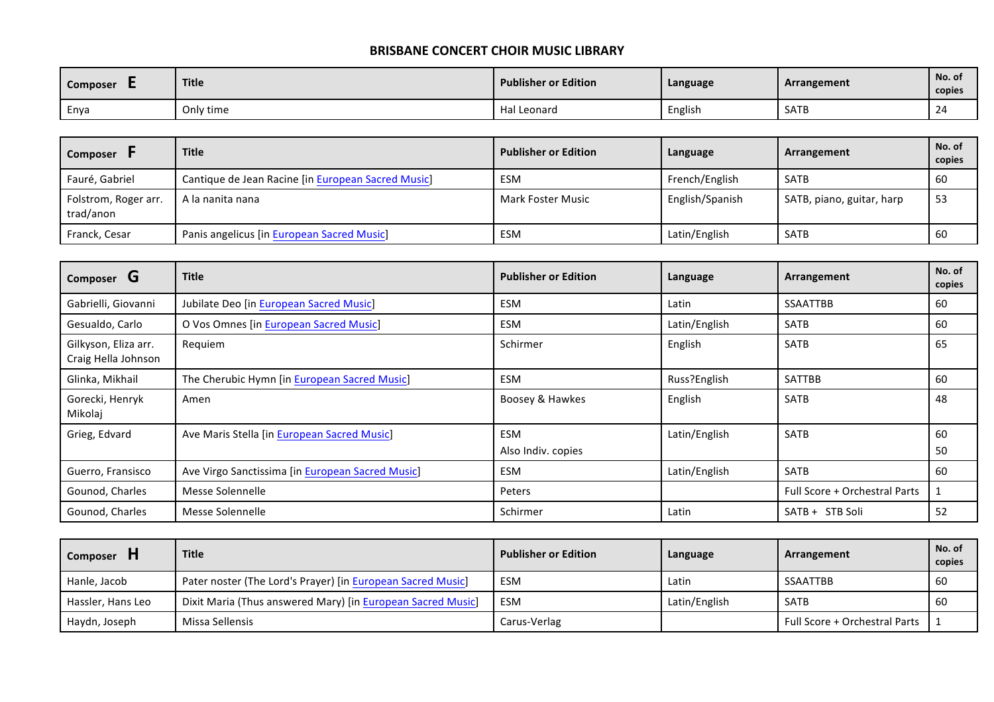| <b>Composer</b> | <b>Title</b> | <b>Publisher or Edition</b> | Language | Arrangement | No. of<br>copies |
|-----------------|--------------|-----------------------------|----------|-------------|------------------|
| Enya            | Only time    | Hal Leonard                 | English  | <b>SATB</b> | 24               |

| <b>Composer</b>                   | <b>Title</b>                                       | <b>Publisher or Edition</b> | Language        | Arrangement               | No. of<br>copies |
|-----------------------------------|----------------------------------------------------|-----------------------------|-----------------|---------------------------|------------------|
| Fauré, Gabriel                    | Cantique de Jean Racine [in European Sacred Music] | ESM                         | French/English  | <b>SATB</b>               | 60               |
| Folstrom, Roger arr.<br>trad/anon | A la nanita nana                                   | Mark Foster Music           | English/Spanish | SATB, piano, guitar, harp | -53              |
| Franck, Cesar                     | Panis angelicus [in European Sacred Music]         | ESM                         | Latin/English   | <b>SATB</b>               | 60               |

| Composer <b>G</b>                           | <b>Title</b>                                     | <b>Publisher or Edition</b>      | Language      | Arrangement                   | No. of<br>copies |
|---------------------------------------------|--------------------------------------------------|----------------------------------|---------------|-------------------------------|------------------|
| Gabrielli, Giovanni                         | Jubilate Deo [in European Sacred Music]          | ESM                              | Latin         | <b>SSAATTBB</b>               | 60               |
| Gesualdo, Carlo                             | O Vos Omnes [in European Sacred Music]           | ESM                              | Latin/English | <b>SATB</b>                   | 60               |
| Gilkyson, Eliza arr.<br>Craig Hella Johnson | Requiem                                          | Schirmer                         | English       | <b>SATB</b>                   | 65               |
| Glinka, Mikhail                             | The Cherubic Hymn [in European Sacred Music]     | ESM                              | Russ?English  | <b>SATTBB</b>                 | 60               |
| Gorecki, Henryk<br>Mikolaj                  | Amen                                             | Boosey & Hawkes                  | English       | <b>SATB</b>                   | 48               |
| Grieg, Edvard                               | Ave Maris Stella [in European Sacred Music]      | <b>ESM</b><br>Also Indiv. copies | Latin/English | <b>SATB</b>                   | 60<br>50         |
| Guerro, Fransisco                           | Ave Virgo Sanctissima [in European Sacred Music] | ESM                              | Latin/English | <b>SATB</b>                   | 60               |
| Gounod, Charles                             | Messe Solennelle                                 | Peters                           |               | Full Score + Orchestral Parts |                  |
| Gounod, Charles                             | Messe Solennelle                                 | Schirmer                         | Latin         | SATB + STB Soli               | 52               |

| <b>Composer</b>   | <b>Title</b>                                                | <b>Publisher or Edition</b> | Language      | Arrangement                   | No. of<br>copies |
|-------------------|-------------------------------------------------------------|-----------------------------|---------------|-------------------------------|------------------|
| Hanle, Jacob      | Pater noster (The Lord's Prayer) [in European Sacred Music] | ESM                         | Latin         | SSAATTBB                      | 60               |
| Hassler, Hans Leo | Dixit Maria (Thus answered Mary) [in European Sacred Music] | ESM                         | Latin/English | SATB                          | 60               |
| Haydn, Joseph     | Missa Sellensis                                             | Carus-Verlag                |               | Full Score + Orchestral Parts |                  |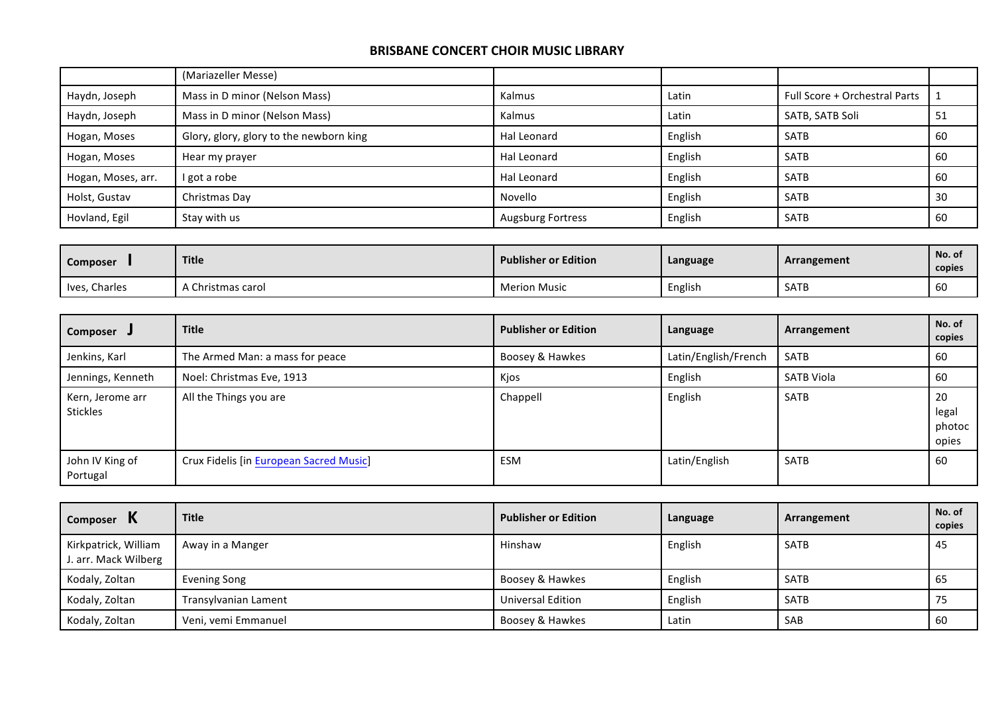|                    | (Mariazeller Messe)                     |                          |         |                               |    |
|--------------------|-----------------------------------------|--------------------------|---------|-------------------------------|----|
| Haydn, Joseph      | Mass in D minor (Nelson Mass)           | Kalmus                   | Latin   | Full Score + Orchestral Parts |    |
| Haydn, Joseph      | Mass in D minor (Nelson Mass)           | Kalmus                   | Latin   | SATB, SATB Soli               | 51 |
| Hogan, Moses       | Glory, glory, glory to the newborn king | Hal Leonard              | English | <b>SATB</b>                   | 60 |
| Hogan, Moses       | Hear my prayer                          | Hal Leonard              | English | <b>SATB</b>                   | 60 |
| Hogan, Moses, arr. | I got a robe                            | Hal Leonard              | English | <b>SATB</b>                   | 60 |
| Holst, Gustav      | Christmas Day                           | Novello                  | English | <b>SATB</b>                   | 30 |
| Hovland, Egil      | Stay with us                            | <b>Augsburg Fortress</b> | English | <b>SATB</b>                   | 60 |

| <b>Composer</b> | <b>Title</b>    | <b>Publisher or Edition</b> | Language | Arrangement | No. of<br>copies |
|-----------------|-----------------|-----------------------------|----------|-------------|------------------|
| Ives, Charles   | Christmas carol | Merion Music                | English  | <b>SATB</b> | 60               |

| Composer J                   | <b>Title</b>                            | <b>Publisher or Edition</b> | Language             | Arrangement | No. of<br>copies               |
|------------------------------|-----------------------------------------|-----------------------------|----------------------|-------------|--------------------------------|
| Jenkins, Karl                | The Armed Man: a mass for peace         | Boosey & Hawkes             | Latin/English/French | SATB        | 60                             |
| Jennings, Kenneth            | Noel: Christmas Eve, 1913               | Kjos                        | English              | SATB Viola  | 60                             |
| Kern, Jerome arr<br>Stickles | All the Things you are                  | Chappell                    | English              | <b>SATB</b> | 20<br>legal<br>photoc<br>opies |
| John IV King of<br>Portugal  | Crux Fidelis [in European Sacred Music] | ESM                         | Latin/English        | SATB        | 60                             |

| Composer                                     | <b>Title</b>         | <b>Publisher or Edition</b> | Language | Arrangement | No. of<br>copies |
|----------------------------------------------|----------------------|-----------------------------|----------|-------------|------------------|
| Kirkpatrick, William<br>J. arr. Mack Wilberg | Away in a Manger     | Hinshaw                     | English  | <b>SATB</b> | -45              |
| Kodaly, Zoltan                               | Evening Song         | Boosey & Hawkes             | English  | <b>SATB</b> | -65              |
| Kodaly, Zoltan                               | Transylvanian Lament | Universal Edition           | English  | <b>SATB</b> | -75              |
| Kodaly, Zoltan                               | Veni, vemi Emmanuel  | Boosey & Hawkes             | Latin    | SAB         | . 60             |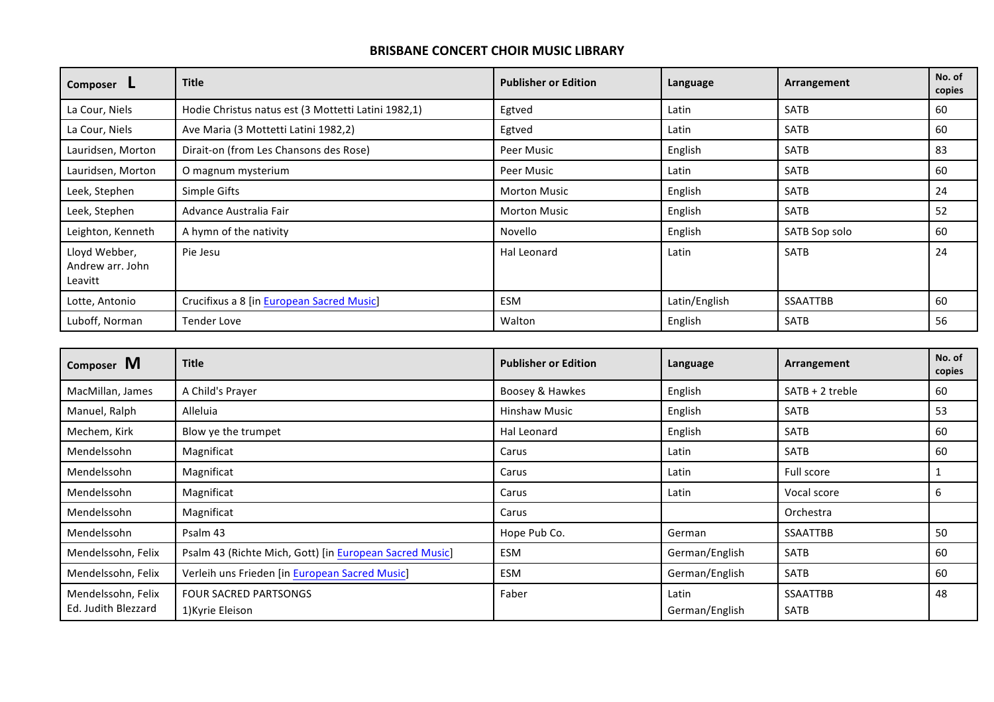| Composer L                                   | <b>Title</b>                                        | <b>Publisher or Edition</b> | Language      | Arrangement     | No. of<br>copies |
|----------------------------------------------|-----------------------------------------------------|-----------------------------|---------------|-----------------|------------------|
| La Cour, Niels                               | Hodie Christus natus est (3 Mottetti Latini 1982,1) | Egtved                      | Latin         | <b>SATB</b>     | 60               |
| La Cour, Niels                               | Ave Maria (3 Mottetti Latini 1982,2)                | Egtved                      | Latin         | <b>SATB</b>     | 60               |
| Lauridsen, Morton                            | Dirait-on (from Les Chansons des Rose)              | Peer Music                  | English       | <b>SATB</b>     | 83               |
| Lauridsen, Morton                            | O magnum mysterium                                  | Peer Music                  | Latin         | <b>SATB</b>     | 60               |
| Leek, Stephen                                | Simple Gifts                                        | <b>Morton Music</b>         | English       | <b>SATB</b>     | 24               |
| Leek, Stephen                                | Advance Australia Fair                              | <b>Morton Music</b>         | English       | <b>SATB</b>     | 52               |
| Leighton, Kenneth                            | A hymn of the nativity                              | Novello                     | English       | SATB Sop solo   | 60               |
| Lloyd Webber,<br>Andrew arr. John<br>Leavitt | Pie Jesu                                            | Hal Leonard                 | Latin         | <b>SATB</b>     | 24               |
| Lotte, Antonio                               | Crucifixus a 8 [in European Sacred Music]           | ESM                         | Latin/English | <b>SSAATTBB</b> | 60               |
| Luboff, Norman                               | <b>Tender Love</b>                                  | Walton                      | English       | <b>SATB</b>     | 56               |

| Composer M          | <b>Title</b>                                            | <b>Publisher or Edition</b> | Language       | Arrangement       | No. of<br>copies |
|---------------------|---------------------------------------------------------|-----------------------------|----------------|-------------------|------------------|
| MacMillan, James    | A Child's Prayer                                        | Boosey & Hawkes             | English        | $SATB + 2$ treble | 60               |
| Manuel, Ralph       | Alleluia                                                | <b>Hinshaw Music</b>        | English        | <b>SATB</b>       | 53               |
| Mechem, Kirk        | Blow ye the trumpet                                     | Hal Leonard                 | English        | <b>SATB</b>       | 60               |
| Mendelssohn         | Magnificat                                              | Carus                       | Latin          | <b>SATB</b>       | 60               |
| Mendelssohn         | Magnificat                                              | Carus                       | Latin          | Full score        |                  |
| Mendelssohn         | Magnificat                                              | Carus                       | Latin          | Vocal score       | 6                |
| Mendelssohn         | Magnificat                                              | Carus                       |                | Orchestra         |                  |
| Mendelssohn         | Psalm 43                                                | Hope Pub Co.                | German         | <b>SSAATTBB</b>   | 50               |
| Mendelssohn, Felix  | Psalm 43 (Richte Mich, Gott) [in European Sacred Music] | ESM                         | German/English | <b>SATB</b>       | 60               |
| Mendelssohn, Felix  | Verleih uns Frieden [in European Sacred Music]          | ESM                         | German/English | <b>SATB</b>       | 60               |
| Mendelssohn, Felix  | <b>FOUR SACRED PARTSONGS</b>                            | Faber                       | Latin          | <b>SSAATTBB</b>   | 48               |
| Ed. Judith Blezzard | 1) Kyrie Eleison                                        |                             | German/English | <b>SATB</b>       |                  |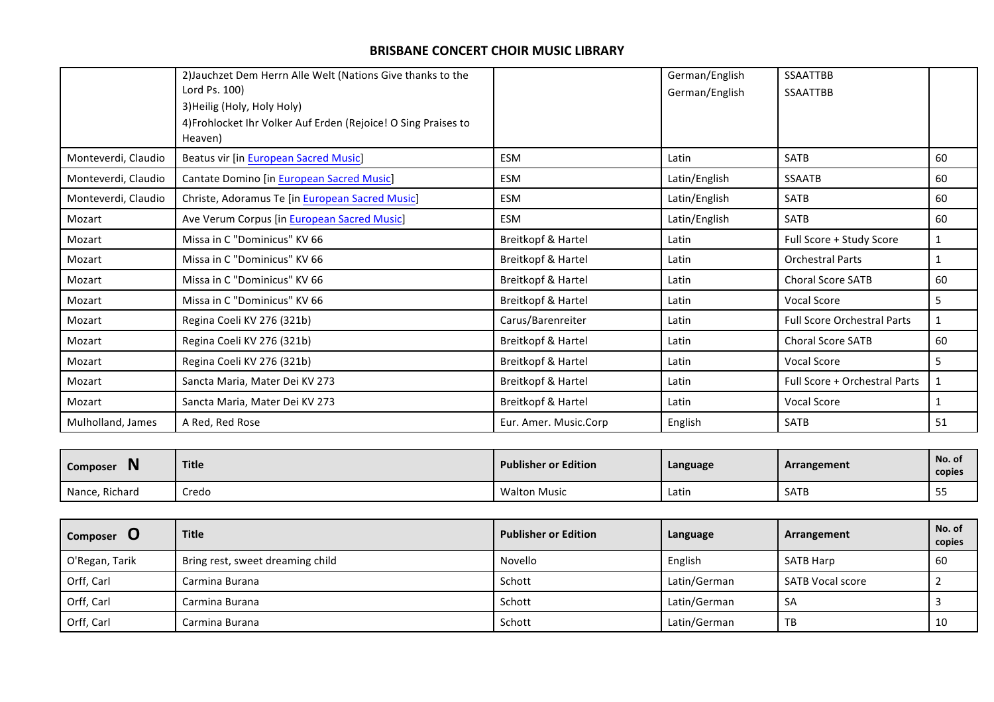|                     | 2) Jauchzet Dem Herrn Alle Welt (Nations Give thanks to the    |                       | German/English | <b>SSAATTBB</b>                    |    |
|---------------------|----------------------------------------------------------------|-----------------------|----------------|------------------------------------|----|
|                     | Lord Ps. 100)                                                  |                       | German/English | <b>SSAATTBB</b>                    |    |
|                     | 3) Heilig (Holy, Holy Holy)                                    |                       |                |                                    |    |
|                     | 4) Frohlocket Ihr Volker Auf Erden (Rejoice! O Sing Praises to |                       |                |                                    |    |
|                     | Heaven)                                                        |                       |                |                                    |    |
| Monteverdi, Claudio | <b>Beatus vir [in European Sacred Music]</b>                   | ESM                   | Latin          | <b>SATB</b>                        | 60 |
| Monteverdi, Claudio | Cantate Domino [in European Sacred Music]                      | ESM                   | Latin/English  | <b>SSAATB</b>                      | 60 |
| Monteverdi, Claudio | Christe, Adoramus Te [in European Sacred Music]                | ESM                   | Latin/English  | <b>SATB</b>                        | 60 |
| Mozart              | Ave Verum Corpus [in European Sacred Music]                    | ESM                   | Latin/English  | <b>SATB</b>                        | 60 |
| Mozart              | Missa in C "Dominicus" KV 66                                   | Breitkopf & Hartel    | Latin          | Full Score + Study Score           |    |
| Mozart              | Missa in C "Dominicus" KV 66                                   | Breitkopf & Hartel    | Latin          | <b>Orchestral Parts</b>            |    |
| Mozart              | Missa in C "Dominicus" KV 66                                   | Breitkopf & Hartel    | Latin          | <b>Choral Score SATB</b>           | 60 |
| Mozart              | Missa in C "Dominicus" KV 66                                   | Breitkopf & Hartel    | Latin          | Vocal Score                        | 5  |
| Mozart              | Regina Coeli KV 276 (321b)                                     | Carus/Barenreiter     | Latin          | <b>Full Score Orchestral Parts</b> |    |
| Mozart              | Regina Coeli KV 276 (321b)                                     | Breitkopf & Hartel    | Latin          | <b>Choral Score SATB</b>           | 60 |
| Mozart              | Regina Coeli KV 276 (321b)                                     | Breitkopf & Hartel    | Latin          | <b>Vocal Score</b>                 | 5  |
| Mozart              | Sancta Maria, Mater Dei KV 273                                 | Breitkopf & Hartel    | Latin          | Full Score + Orchestral Parts      |    |
| Mozart              | Sancta Maria, Mater Dei KV 273                                 | Breitkopf & Hartel    | Latin          | <b>Vocal Score</b>                 |    |
| Mulholland, James   | A Red, Red Rose                                                | Eur. Amer. Music.Corp | English        | <b>SATB</b>                        | 51 |

| <br><b>Composer</b><br>'' | <b>Title</b> | <b>Publisher or Edition</b> | Language | Arrangement | No. of<br>copies |
|---------------------------|--------------|-----------------------------|----------|-------------|------------------|
| Nance, Richard            | Credo        | <b>Walton Music</b>         | Latin    | <b>SATB</b> | $ -$<br>55       |

| Composer       | <b>Title</b>                     | <b>Publisher or Edition</b> | Language     | Arrangement             | No. of<br>copies |
|----------------|----------------------------------|-----------------------------|--------------|-------------------------|------------------|
| O'Regan, Tarik | Bring rest, sweet dreaming child | Novello                     | English      | <b>SATB Harp</b>        | 60               |
| Orff, Carl     | Carmina Burana                   | Schott                      | Latin/German | <b>SATB Vocal score</b> |                  |
| Orff, Carl     | Carmina Burana                   | Schott                      | Latin/German | <b>SA</b>               |                  |
| Orff, Carl     | Carmina Burana                   | Schott                      | Latin/German | TB                      | 10               |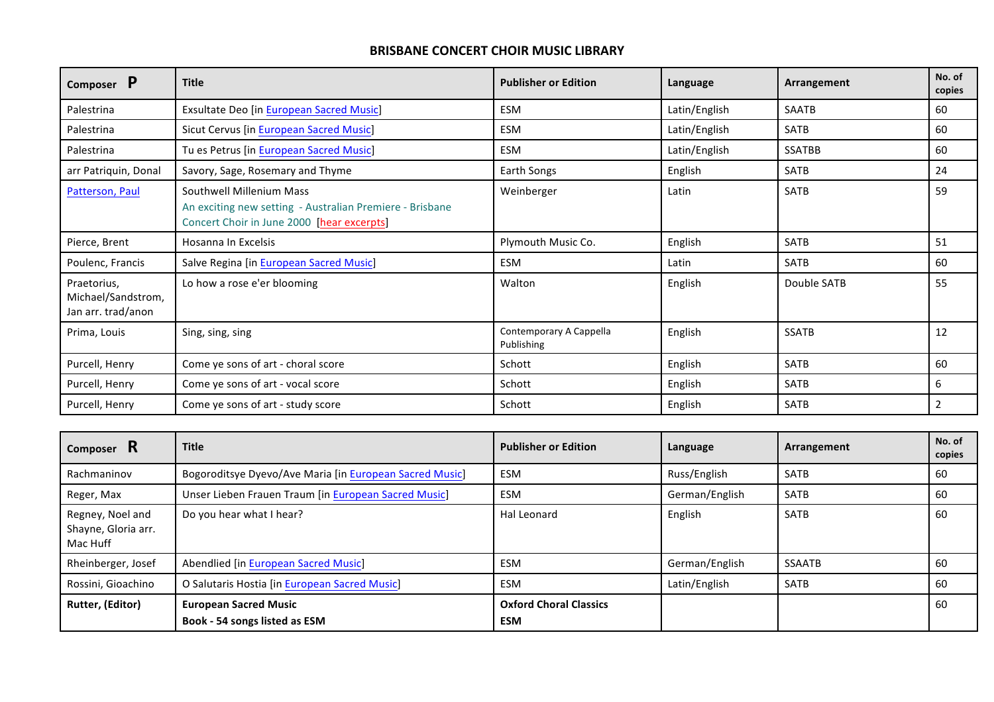| P<br>Composer                                           | <b>Title</b>                                                                                                                       | <b>Publisher or Edition</b>           | Language      | Arrangement   | No. of<br>copies |
|---------------------------------------------------------|------------------------------------------------------------------------------------------------------------------------------------|---------------------------------------|---------------|---------------|------------------|
| Palestrina                                              | <b>Exsultate Deo [in European Sacred Music]</b>                                                                                    | <b>ESM</b>                            | Latin/English | <b>SAATB</b>  | 60               |
| Palestrina                                              | Sicut Cervus [in European Sacred Music]                                                                                            | <b>ESM</b>                            | Latin/English | <b>SATB</b>   | 60               |
| Palestrina                                              | Tu es Petrus [in European Sacred Music]                                                                                            | ESM                                   | Latin/English | <b>SSATBB</b> | 60               |
| arr Patriquin, Donal                                    | Savory, Sage, Rosemary and Thyme                                                                                                   | Earth Songs                           | English       | <b>SATB</b>   | 24               |
| Patterson, Paul                                         | Southwell Millenium Mass<br>An exciting new setting - Australian Premiere - Brisbane<br>Concert Choir in June 2000 [hear excerpts] | Weinberger                            | Latin         | <b>SATB</b>   | 59               |
| Pierce, Brent                                           | Hosanna In Excelsis                                                                                                                | Plymouth Music Co.                    | English       | <b>SATB</b>   | 51               |
| Poulenc, Francis                                        | Salve Regina [in European Sacred Music]                                                                                            | <b>ESM</b>                            | Latin         | <b>SATB</b>   | 60               |
| Praetorius,<br>Michael/Sandstrom,<br>Jan arr. trad/anon | Lo how a rose e'er blooming                                                                                                        | Walton                                | English       | Double SATB   | 55               |
| Prima, Louis                                            | Sing, sing, sing                                                                                                                   | Contemporary A Cappella<br>Publishing | English       | <b>SSATB</b>  | 12               |
| Purcell, Henry                                          | Come ye sons of art - choral score                                                                                                 | Schott                                | English       | <b>SATB</b>   | 60               |
| Purcell, Henry                                          | Come ye sons of art - vocal score                                                                                                  | Schott                                | English       | SATB          | 6                |
| Purcell, Henry                                          | Come ye sons of art - study score                                                                                                  | Schott                                | English       | <b>SATB</b>   | 2                |

| Composer R                                          | <b>Title</b>                                                  | <b>Publisher or Edition</b>          | Language       | Arrangement   | No. of<br>copies |
|-----------------------------------------------------|---------------------------------------------------------------|--------------------------------------|----------------|---------------|------------------|
| Rachmaninov                                         | Bogoroditsye Dyevo/Ave Maria [in European Sacred Music]       | <b>ESM</b>                           | Russ/English   | <b>SATB</b>   | 60               |
| Reger, Max                                          | Unser Lieben Frauen Traum [in European Sacred Music]          | <b>ESM</b>                           | German/English | <b>SATB</b>   | 60               |
| Regney, Noel and<br>Shayne, Gloria arr.<br>Mac Huff | Do you hear what I hear?                                      | Hal Leonard                          | English        | <b>SATB</b>   | 60               |
| Rheinberger, Josef                                  | Abendlied [in European Sacred Music]                          | <b>ESM</b>                           | German/English | <b>SSAATB</b> | 60               |
| Rossini, Gioachino                                  | O Salutaris Hostia [in European Sacred Music]                 | <b>ESM</b>                           | Latin/English  | <b>SATB</b>   | 60               |
| Rutter, (Editor)                                    | <b>European Sacred Music</b><br>Book - 54 songs listed as ESM | <b>Oxford Choral Classics</b><br>ESM |                |               | 60               |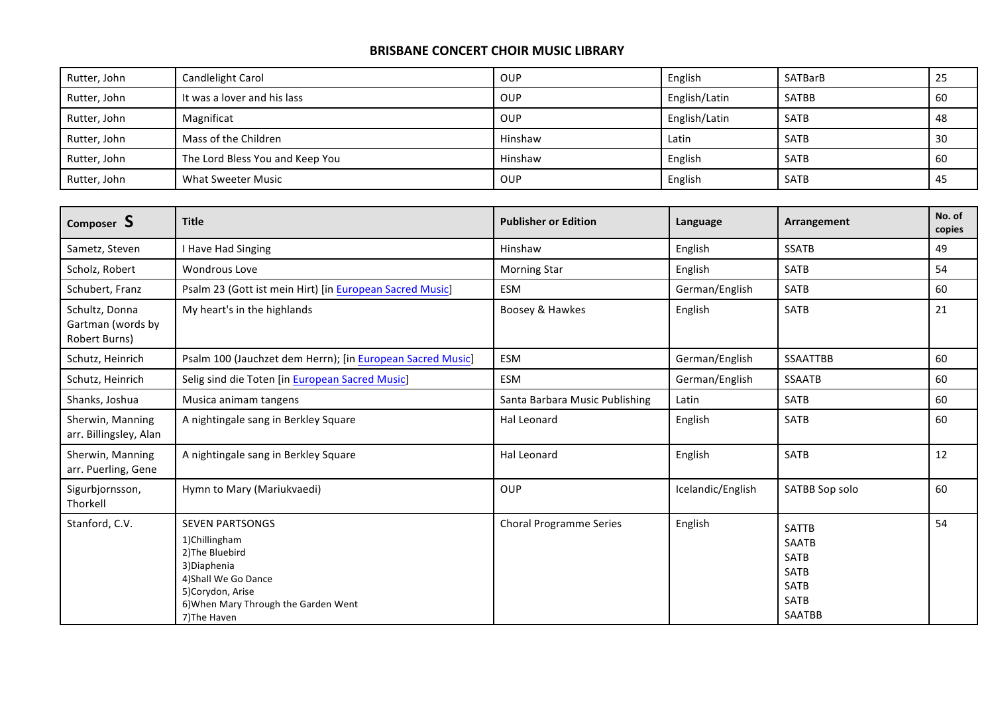| Rutter, John | Candlelight Carol               | OUP     | English       | SATBarB     | 25  |
|--------------|---------------------------------|---------|---------------|-------------|-----|
| Rutter, John | It was a lover and his lass     | OUP     | English/Latin | SATBB       | 60  |
| Rutter, John | Magnificat                      | OUP     | English/Latin | <b>SATB</b> | 48  |
| Rutter, John | Mass of the Children            | Hinshaw | Latin         | <b>SATB</b> | 30  |
| Rutter, John | The Lord Bless You and Keep You | Hinshaw | English       | <b>SATB</b> | 60  |
| Rutter, John | <b>What Sweeter Music</b>       | OUP     | English       | <b>SATB</b> | -45 |

| Composer S                                           | <b>Title</b>                                                                                                                                                                   | <b>Publisher or Edition</b>    | Language          | Arrangement                                                                                        | No. of<br>copies |
|------------------------------------------------------|--------------------------------------------------------------------------------------------------------------------------------------------------------------------------------|--------------------------------|-------------------|----------------------------------------------------------------------------------------------------|------------------|
| Sametz, Steven                                       | I Have Had Singing                                                                                                                                                             | Hinshaw                        | English           | <b>SSATB</b>                                                                                       | 49               |
| Scholz, Robert                                       | Wondrous Love                                                                                                                                                                  | <b>Morning Star</b>            | English           | <b>SATB</b>                                                                                        | 54               |
| Schubert, Franz                                      | Psalm 23 (Gott ist mein Hirt) [in European Sacred Music]                                                                                                                       | ESM                            | German/English    | <b>SATB</b>                                                                                        | 60               |
| Schultz, Donna<br>Gartman (words by<br>Robert Burns) | My heart's in the highlands                                                                                                                                                    | Boosey & Hawkes                | English           | <b>SATB</b>                                                                                        | 21               |
| Schutz, Heinrich                                     | Psalm 100 (Jauchzet dem Herrn); [in European Sacred Music]                                                                                                                     | ESM                            | German/English    | <b>SSAATTBB</b>                                                                                    | 60               |
| Schutz, Heinrich                                     | Selig sind die Toten [in European Sacred Music]                                                                                                                                | ESM                            | German/English    | <b>SSAATB</b>                                                                                      | 60               |
| Shanks, Joshua                                       | Musica animam tangens                                                                                                                                                          | Santa Barbara Music Publishing | Latin             | <b>SATB</b>                                                                                        | 60               |
| Sherwin, Manning<br>arr. Billingsley, Alan           | A nightingale sang in Berkley Square                                                                                                                                           | Hal Leonard                    | English           | <b>SATB</b>                                                                                        | 60               |
| Sherwin, Manning<br>arr. Puerling, Gene              | A nightingale sang in Berkley Square                                                                                                                                           | <b>Hal Leonard</b>             | English           | <b>SATB</b>                                                                                        | 12               |
| Sigurbjornsson,<br>Thorkell                          | Hymn to Mary (Mariukvaedi)                                                                                                                                                     | OUP                            | Icelandic/English | SATBB Sop solo                                                                                     | 60               |
| Stanford, C.V.                                       | <b>SEVEN PARTSONGS</b><br>1)Chillingham<br>2) The Bluebird<br>3) Diaphenia<br>4) Shall We Go Dance<br>5)Corydon, Arise<br>6) When Mary Through the Garden Went<br>7) The Haven | <b>Choral Programme Series</b> | English           | <b>SATTB</b><br><b>SAATB</b><br>SATB<br><b>SATB</b><br><b>SATB</b><br><b>SATB</b><br><b>SAATBB</b> | 54               |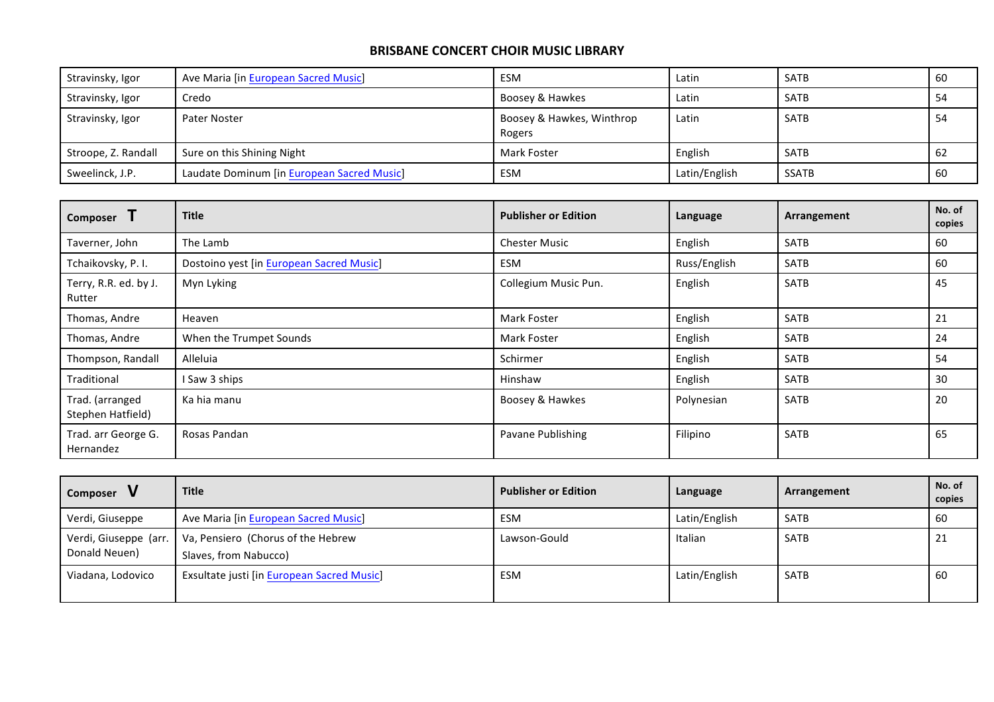| Stravinsky, Igor    | Ave Maria [in European Sacred Music]       | ESM                                 | Latin         | SATB        | 60  |
|---------------------|--------------------------------------------|-------------------------------------|---------------|-------------|-----|
| Stravinsky, Igor    | Credo                                      | Boosey & Hawkes                     | Latin         | <b>SATB</b> | 54  |
| Stravinsky, Igor    | Pater Noster                               | Boosey & Hawkes, Winthrop<br>Rogers | Latin         | <b>SATB</b> | -54 |
| Stroope, Z. Randall | Sure on this Shining Night                 | Mark Foster                         | English       | <b>SATB</b> | -62 |
| Sweelinck, J.P.     | Laudate Dominum [in European Sacred Music] | ESM                                 | Latin/English | SSATB       | 60  |

| Composer                             | <b>Title</b>                             | <b>Publisher or Edition</b> | Language     | Arrangement | No. of<br>copies |
|--------------------------------------|------------------------------------------|-----------------------------|--------------|-------------|------------------|
| Taverner, John                       | The Lamb                                 | <b>Chester Music</b>        | English      | <b>SATB</b> | 60               |
| Tchaikovsky, P. I.                   | Dostoino yest [in European Sacred Music] | <b>ESM</b>                  | Russ/English | <b>SATB</b> | 60               |
| Terry, R.R. ed. by J.<br>Rutter      | Myn Lyking                               | Collegium Music Pun.        | English      | <b>SATB</b> | 45               |
| Thomas, Andre                        | Heaven                                   | Mark Foster                 | English      | <b>SATB</b> | 21               |
| Thomas, Andre                        | When the Trumpet Sounds                  | Mark Foster                 | English      | <b>SATB</b> | 24               |
| Thompson, Randall                    | Alleluia                                 | Schirmer                    | English      | <b>SATB</b> | 54               |
| Traditional                          | Saw 3 ships                              | Hinshaw                     | English      | <b>SATB</b> | 30               |
| Trad. (arranged<br>Stephen Hatfield) | Ka hia manu                              | Boosey & Hawkes             | Polynesian   | <b>SATB</b> | 20               |
| Trad. arr George G.<br>Hernandez     | Rosas Pandan                             | Pavane Publishing           | Filipino     | <b>SATB</b> | 65               |

| Composer                               | <b>Title</b>                                                | <b>Publisher or Edition</b> | Language      | Arrangement | No. of<br>copies |
|----------------------------------------|-------------------------------------------------------------|-----------------------------|---------------|-------------|------------------|
| Verdi, Giuseppe                        | Ave Maria [in European Sacred Music]                        | ESM                         | Latin/English | SATB        | 60               |
| Verdi, Giuseppe (arr.<br>Donald Neuen) | Va, Pensiero (Chorus of the Hebrew<br>Slaves, from Nabucco) | Lawson-Gould                | Italian       | SATB        | 21               |
| Viadana, Lodovico                      | Exsultate justi [in European Sacred Music]                  | <b>ESM</b>                  | Latin/English | <b>SATB</b> | 60               |